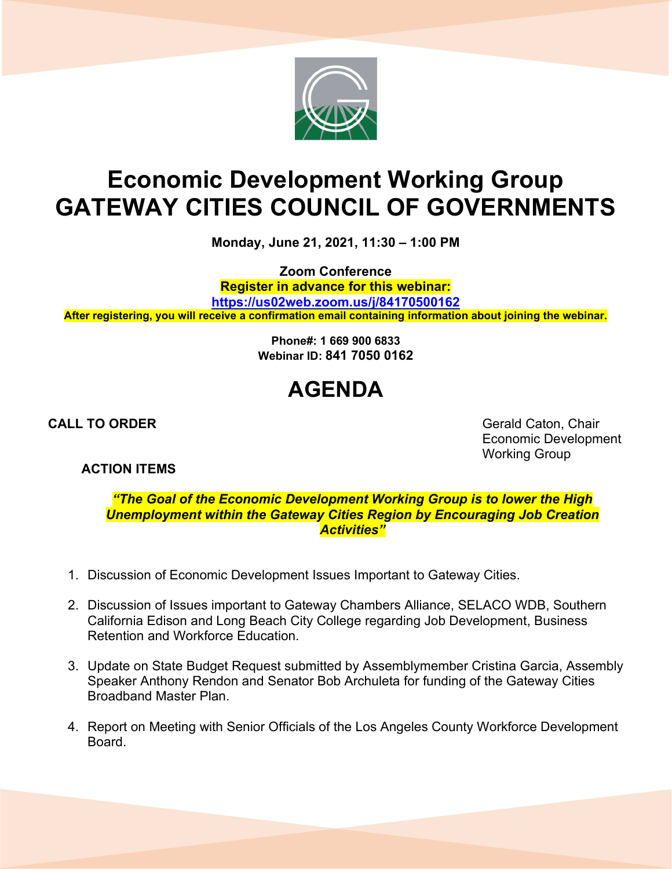

## **Economic Development Working Group GATEWAY CITIES COUNCIL OF GOVERNMENTS**

**Monday, June 21, 2021, 11:30 – 1:00 PM**

**Zoom Conference Register in advance for this webinar: <https://us02web.zoom.us/j/84170500162> After registering, you will receive a confirmation email containing information about joining the webinar.**

> **Phone#: 1 669 900 6833 Webinar ID: 841 7050 0162**

## **AGENDA**

**CALL TO ORDER** Gerald Caton, Chair Economic Development Working Group

**ACTION ITEMS**

*"The Goal of the Economic Development Working Group is to lower the High Unemployment within the Gateway Cities Region by Encouraging Job Creation Activities"*

- 1. Discussion of Economic Development Issues Important to Gateway Cities.
- 2. Discussion of Issues important to Gateway Chambers Alliance, SELACO WDB, Southern California Edison and Long Beach City College regarding Job Development, Business Retention and Workforce Education.
- 3. Update on State Budget Request submitted by Assemblymember Cristina Garcia, Assembly Speaker Anthony Rendon and Senator Bob Archuleta for funding of the Gateway Cities Broadband Master Plan.
- 4. Report on Meeting with Senior Officials of the Los Angeles County Workforce Development Board.